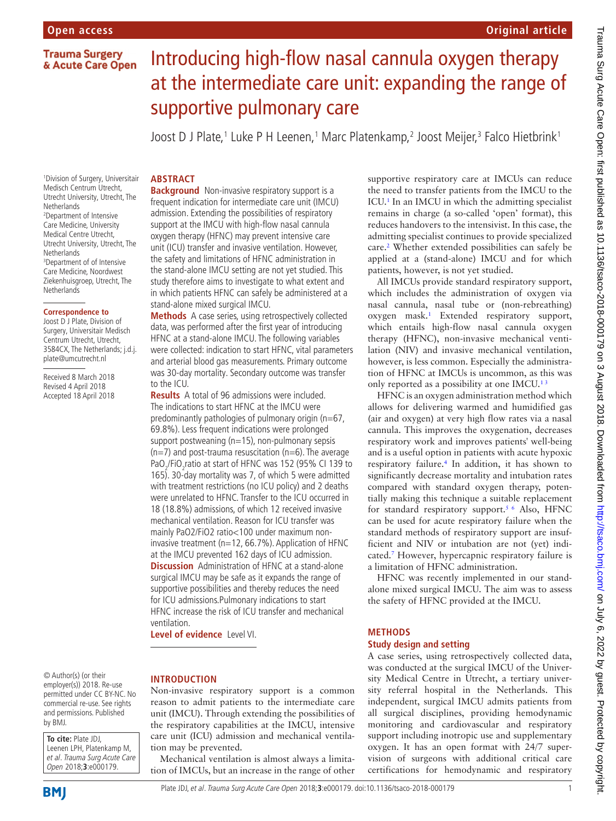## **Trauma Surgery** & Acute Care Open

# **Original article**

# Introducing high-flow nasal cannula oxygen therapy at the intermediate care unit: expanding the range of supportive pulmonary care

Joost D J Plate,1 Luke P H Leenen,1 Marc Platenkamp,<sup>2</sup> Joost Meijer,<sup>3</sup> Falco Hietbrink<sup>1</sup>

### **Abstract**

1 Division of Surgery, Universitair Medisch Centrum Utrecht, Utrecht University, Utrecht, The **Netherlands** 2 Department of Intensive Care Medicine, University Medical Centre Utrecht, Utrecht University, Utrecht, The **Netherlands** 3 Department of of Intensive Care Medicine, Noordwest Ziekenhuisgroep, Utrecht, The **Netherlands** 

#### **Correspondence to**

Joost D<sup>J</sup> Plate, Division of Surgery, Universitair Medisch Centrum Utrecht, Utrecht, 3584CX, The Netherlands; j.d.j. plate@umcutrecht.nl

Received 8 March 2018 Revised 4 April 2018 Accepted 18 April 2018 **Background** Non-invasive respiratory support is a frequent indication for intermediate care unit (IMCU) admission. Extending the possibilities of respiratory support at the IMCU with high-flow nasal cannula oxygen therapy (HFNC) may prevent intensive care unit (ICU) transfer and invasive ventilation. However, the safety and limitations of HFNC administration in the stand-alone IMCU setting are not yet studied. This study therefore aims to investigate to what extent and in which patients HFNC can safely be administered at a stand-alone mixed surgical IMCU.

**Methods** A case series, using retrospectively collected data, was performed after the first year of introducing HFNC at a stand-alone IMCU. The following variables were collected: indication to start HFNC, vital parameters and arterial blood gas measurements. Primary outcome was 30-day mortality. Secondary outcome was transfer to the ICU.

**Results** A total of 96 admissions were included. The indications to start HFNC at the IMCU were predominantly pathologies of pulmonary origin (n=67, 69.8%). Less frequent indications were prolonged support postweaning (n=15), non-pulmonary sepsis  $(n=7)$  and post-trauma resuscitation  $(n=6)$ . The average PaO<sub>2</sub>/FiO<sub>2</sub> ratio at start of HFNC was 152 (95% CI 139 to 165). 30-day mortality was 7, of which 5 were admitted with treatment restrictions (no ICU policy) and 2 deaths were unrelated to HFNC. Transfer to the ICU occurred in 18 (18.8%) admissions, of which 12 received invasive mechanical ventilation. Reason for ICU transfer was mainly PaO2/FiO2 ratio<100 under maximum noninvasive treatment (n=12, 66.7%). Application of HFNC at the IMCU prevented 162 days of ICU admission. **Discussion** Administration of HFNC at a stand-alone surgical IMCU may be safe as it expands the range of supportive possibilities and thereby reduces the need for ICU admissions.Pulmonary indications to start HFNC increase the risk of ICU transfer and mechanical ventilation.

**Level of evidence** Level VI.

© Author(s) (or their employer(s)) 2018. Re-use permitted under CC BY-NC. No commercial re-use. See rights and permissions. Published by BMJ.

**To cite:** Plate JDJ, Leenen LPH, Platenkamp M, et al. Trauma Surg Acute Care Open 2018;3:e000179.

# **Introduction**

Non-invasive respiratory support is a common reason to admit patients to the intermediate care unit (IMCU). Through extending the possibilities of the respiratory capabilities at the IMCU, intensive care unit (ICU) admission and mechanical ventilation may be prevented.

Mechanical ventilation is almost always a limitation of IMCUs, but an increase in the range of other supportive respiratory care at IMCUs can reduce the need to transfer patients from the IMCU to the ICU.<sup>1</sup> In an IMCU in which the admitting specialist remains in charge (a so-called 'open' format), this reduces handovers to the intensivist. In this case, the admitting specialist continues to provide specialized care[.2](#page-5-0) Whether extended possibilities can safely be applied at a (stand-alone) IMCU and for which patients, however, is not yet studied.

All IMCUs provide standard respiratory support, which includes the administration of oxygen via nasal cannula, nasal tube or (non-rebreathing) oxygen mask[.1](#page-5-1) Extended respiratory support, which entails high-flow nasal cannula oxygen therapy (HFNC), non-invasive mechanical ventilation (NIV) and invasive mechanical ventilation, however, is less common. Especially the administration of HFNC at IMCUs is uncommon, as this was only reported as a possibility at one IMCU.<sup>13</sup>

HFNC is an oxygen administration method which allows for delivering warmed and humidified gas (air and oxygen) at very high flow rates via a nasal cannula. This improves the oxygenation, decreases respiratory work and improves patients' well-being and is a useful option in patients with acute hypoxic respiratory failure.<sup>[4](#page-5-2)</sup> In addition, it has shown to significantly decrease mortality and intubation rates compared with standard oxygen therapy, potentially making this technique a suitable replacement for standard respiratory support.<sup>5 6</sup> Also, HFNC can be used for acute respiratory failure when the standard methods of respiratory support are insufficient and NIV or intubation are not (yet) indicated.[7](#page-5-4) However, hypercapnic respiratory failure is a limitation of HFNC administration.

HFNC was recently implemented in our standalone mixed surgical IMCU. The aim was to assess the safety of HFNC provided at the IMCU.

# **Methods**

#### **Study design and setting**

A case series, using retrospectively collected data, was conducted at the surgical IMCU of the University Medical Centre in Utrecht, a tertiary university referral hospital in the Netherlands. This independent, surgical IMCU admits patients from all surgical disciplines, providing hemodynamic monitoring and cardiovascular and respiratory support including inotropic use and supplementary oxygen. It has an open format with 24/7 supervision of surgeons with additional critical care certifications for hemodynamic and respiratory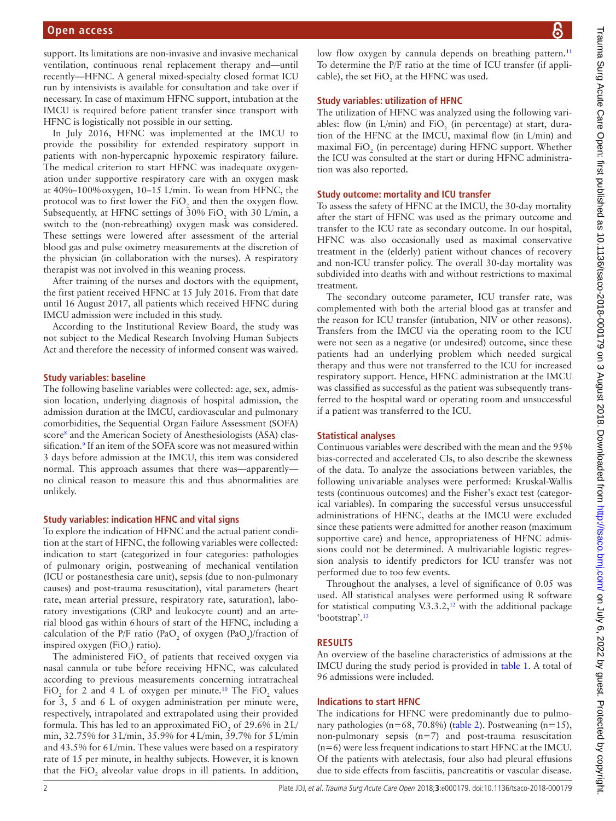support. Its limitations are non-invasive and invasive mechanical ventilation, continuous renal replacement therapy and—until recently—HFNC. A general mixed-specialty closed format ICU run by intensivists is available for consultation and take over if necessary. In case of maximum HFNC support, intubation at the IMCU is required before patient transfer since transport with HFNC is logistically not possible in our setting.

In July 2016, HFNC was implemented at the IMCU to provide the possibility for extended respiratory support in patients with non-hypercapnic hypoxemic respiratory failure. The medical criterion to start HFNC was inadequate oxygenation under supportive respiratory care with an oxygen mask at 40%–100%oxygen, 10–15 L/min. To wean from HFNC, the protocol was to first lower the  $FiO_2$  and then the oxygen flow. Subsequently, at HFNC settings of 30%  $FiO_2$  with 30 L/min, a switch to the (non-rebreathing) oxygen mask was considered. These settings were lowered after assessment of the arterial blood gas and pulse oximetry measurements at the discretion of the physician (in collaboration with the nurses). A respiratory therapist was not involved in this weaning process.

After training of the nurses and doctors with the equipment, the first patient received HFNC at 15 July 2016. From that date until 16 August 2017, all patients which received HFNC during IMCU admission were included in this study.

According to the Institutional Review Board, the study was not subject to the Medical Research Involving Human Subjects Act and therefore the necessity of informed consent was waived.

#### **Study variables: baseline**

The following baseline variables were collected: age, sex, admission location, underlying diagnosis of hospital admission, the admission duration at the IMCU, cardiovascular and pulmonary comorbidities, the Sequential Organ Failure Assessment (SOFA) score<sup>[8](#page-5-5)</sup> and the American Society of Anesthesiologists (ASA) clas-sification.<sup>[9](#page-5-6)</sup> If an item of the SOFA score was not measured within 3 days before admission at the IMCU, this item was considered normal. This approach assumes that there was—apparently no clinical reason to measure this and thus abnormalities are unlikely.

#### **Study variables: indication HFNC and vital signs**

To explore the indication of HFNC and the actual patient condition at the start of HFNC, the following variables were collected: indication to start (categorized in four categories: pathologies of pulmonary origin, postweaning of mechanical ventilation (ICU or postanesthesia care unit), sepsis (due to non-pulmonary causes) and post-trauma resuscitation), vital parameters (heart rate, mean arterial pressure, respiratory rate, saturation), laboratory investigations (CRP and leukocyte count) and an arterial blood gas within 6hours of start of the HFNC, including a calculation of the P/F ratio (PaO<sub>2</sub> of oxygen (PaO<sub>2</sub>)/fraction of inspired oxygen (FiO<sub>2</sub>) ratio).

The administered  $FiO_2$  of patients that received oxygen via nasal cannula or tube before receiving HFNC, was calculated according to previous measurements concerning intratracheal FiO<sub>2</sub> for 2 and 4 L of oxygen per minute.<sup>10</sup> The FiO<sub>2</sub> values for 3, 5 and 6 L of oxygen administration per minute were, respectively, intrapolated and extrapolated using their provided formula. This has led to an approximated FiO<sub>2</sub> of 29.6% in 2L/ min, 32.75% for 3L/min, 35.9% for 4L/min, 39.7% for 5L/min and 43.5% for 6L/min. These values were based on a respiratory rate of 15 per minute, in healthy subjects. However, it is known that the  $FiO_2$  alveolar value drops in ill patients. In addition, low flow oxygen by cannula depends on breathing pattern.<sup>11</sup> To determine the P/F ratio at the time of ICU transfer (if applicable), the set  $FiO_2$  at the HFNC was used.

#### **Study variables: utilization of HFNC**

The utilization of HFNC was analyzed using the following variables: flow (in L/min) and  $FiO_2$  (in percentage) at start, duration of the HFNC at the IMCU, maximal flow (in L/min) and maximal  $FiO_2$  (in percentage) during HFNC support. Whether the ICU was consulted at the start or during HFNC administration was also reported.

#### **Study outcome: mortality and ICU transfer**

To assess the safety of HFNC at the IMCU, the 30-day mortality after the start of HFNC was used as the primary outcome and transfer to the ICU rate as secondary outcome. In our hospital, HFNC was also occasionally used as maximal conservative treatment in the (elderly) patient without chances of recovery and non-ICU transfer policy. The overall 30-day mortality was subdivided into deaths with and without restrictions to maximal treatment.

The secondary outcome parameter, ICU transfer rate, was complemented with both the arterial blood gas at transfer and the reason for ICU transfer (intubation, NIV or other reasons). Transfers from the IMCU via the operating room to the ICU were not seen as a negative (or undesired) outcome, since these patients had an underlying problem which needed surgical therapy and thus were not transferred to the ICU for increased respiratory support. Hence, HFNC administration at the IMCU was classified as successful as the patient was subsequently transferred to the hospital ward or operating room and unsuccessful if a patient was transferred to the ICU.

#### **Statistical analyses**

Continuous variables were described with the mean and the 95% bias-corrected and accelerated CIs, to also describe the skewness of the data. To analyze the associations between variables, the following univariable analyses were performed: Kruskal-Wallis tests (continuous outcomes) and the Fisher's exact test (categorical variables). In comparing the successful versus unsuccessful administrations of HFNC, deaths at the IMCU were excluded since these patients were admitted for another reason (maximum supportive care) and hence, appropriateness of HFNC admissions could not be determined. A multivariable logistic regression analysis to identify predictors for ICU transfer was not performed due to too few events.

Throughout the analyses, a level of significance of 0.05 was used. All statistical analyses were performed using R software for statistical computing  $V.3.3.2$ ,<sup>12</sup> with the additional package 'bootstrap'.[13](#page-5-10)

#### **Results**

An overview of the baseline characteristics of admissions at the IMCU during the study period is provided in [table](#page-2-0) 1. A total of 96 admissions were included.

#### **Indications to start HFNC**

The indications for HFNC were predominantly due to pulmonary pathologies (n=68, 70.8%) ([table](#page-2-1) 2). Postweaning (n=15), non-pulmonary sepsis  $(n=7)$  and post-trauma resuscitation (n=6) were less frequent indications to start HFNC at the IMCU. Of the patients with atelectasis, four also had pleural effusions due to side effects from fasciitis, pancreatitis or vascular disease.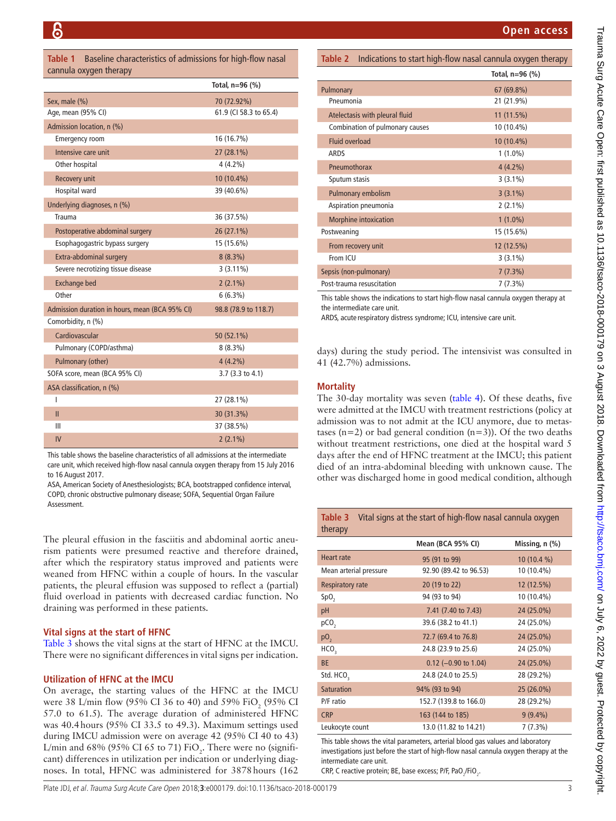<span id="page-2-0"></span>

| <b>Table 1</b> Baseline characteristics of admissions for high-flow nasal |
|---------------------------------------------------------------------------|
| cannula oxygen therapy                                                    |

| 70 (72.92%)<br>Sex, male (%)<br>Age, mean (95% CI)<br>61.9 (CI 58.3 to 65.4)<br>Admission location, n (%)<br>16 (16.7%)<br>Emergency room<br>Intensive care unit<br>27 (28.1%)<br>Other hospital<br>$4(4.2\%)$<br>10 (10.4%)<br>Recovery unit<br>Hospital ward<br>39 (40.6%)<br>Underlying diagnoses, n (%)<br><b>Trauma</b><br>36 (37.5%)<br>Postoperative abdominal surgery<br>26 (27.1%)<br>15 (15.6%)<br>Esophagogastric bypass surgery<br>Extra-abdominal surgery<br>$8(8.3\%)$<br>Severe necrotizing tissue disease<br>$3(3.11\%)$<br><b>Exchange bed</b><br>$2(2.1\%)$<br>Other<br>6(6.3%)<br>Admission duration in hours, mean (BCA 95% CI)<br>98.8 (78.9 to 118.7)<br>Comorbidity, n (%)<br>Cardiovascular<br>50 (52.1%)<br>Pulmonary (COPD/asthma)<br>$8(8.3\%)$<br>Pulmonary (other)<br>4(4.2%)<br>SOFA score, mean (BCA 95% CI)<br>3.7 (3.3 to 4.1)<br>ASA classification, n (%)<br>I<br>27 (28.1%)<br>$\mathbf{II}$<br>30 (31.3%)<br>37 (38.5%)<br>Ш<br>$2(2.1\%)$<br>IV | Total, n=96 (%) |
|---------------------------------------------------------------------------------------------------------------------------------------------------------------------------------------------------------------------------------------------------------------------------------------------------------------------------------------------------------------------------------------------------------------------------------------------------------------------------------------------------------------------------------------------------------------------------------------------------------------------------------------------------------------------------------------------------------------------------------------------------------------------------------------------------------------------------------------------------------------------------------------------------------------------------------------------------------------------------------------|-----------------|
|                                                                                                                                                                                                                                                                                                                                                                                                                                                                                                                                                                                                                                                                                                                                                                                                                                                                                                                                                                                       |                 |
|                                                                                                                                                                                                                                                                                                                                                                                                                                                                                                                                                                                                                                                                                                                                                                                                                                                                                                                                                                                       |                 |
|                                                                                                                                                                                                                                                                                                                                                                                                                                                                                                                                                                                                                                                                                                                                                                                                                                                                                                                                                                                       |                 |
|                                                                                                                                                                                                                                                                                                                                                                                                                                                                                                                                                                                                                                                                                                                                                                                                                                                                                                                                                                                       |                 |
|                                                                                                                                                                                                                                                                                                                                                                                                                                                                                                                                                                                                                                                                                                                                                                                                                                                                                                                                                                                       |                 |
|                                                                                                                                                                                                                                                                                                                                                                                                                                                                                                                                                                                                                                                                                                                                                                                                                                                                                                                                                                                       |                 |
|                                                                                                                                                                                                                                                                                                                                                                                                                                                                                                                                                                                                                                                                                                                                                                                                                                                                                                                                                                                       |                 |
|                                                                                                                                                                                                                                                                                                                                                                                                                                                                                                                                                                                                                                                                                                                                                                                                                                                                                                                                                                                       |                 |
|                                                                                                                                                                                                                                                                                                                                                                                                                                                                                                                                                                                                                                                                                                                                                                                                                                                                                                                                                                                       |                 |
|                                                                                                                                                                                                                                                                                                                                                                                                                                                                                                                                                                                                                                                                                                                                                                                                                                                                                                                                                                                       |                 |
|                                                                                                                                                                                                                                                                                                                                                                                                                                                                                                                                                                                                                                                                                                                                                                                                                                                                                                                                                                                       |                 |
|                                                                                                                                                                                                                                                                                                                                                                                                                                                                                                                                                                                                                                                                                                                                                                                                                                                                                                                                                                                       |                 |
|                                                                                                                                                                                                                                                                                                                                                                                                                                                                                                                                                                                                                                                                                                                                                                                                                                                                                                                                                                                       |                 |
|                                                                                                                                                                                                                                                                                                                                                                                                                                                                                                                                                                                                                                                                                                                                                                                                                                                                                                                                                                                       |                 |
|                                                                                                                                                                                                                                                                                                                                                                                                                                                                                                                                                                                                                                                                                                                                                                                                                                                                                                                                                                                       |                 |
|                                                                                                                                                                                                                                                                                                                                                                                                                                                                                                                                                                                                                                                                                                                                                                                                                                                                                                                                                                                       |                 |
|                                                                                                                                                                                                                                                                                                                                                                                                                                                                                                                                                                                                                                                                                                                                                                                                                                                                                                                                                                                       |                 |
|                                                                                                                                                                                                                                                                                                                                                                                                                                                                                                                                                                                                                                                                                                                                                                                                                                                                                                                                                                                       |                 |
|                                                                                                                                                                                                                                                                                                                                                                                                                                                                                                                                                                                                                                                                                                                                                                                                                                                                                                                                                                                       |                 |
|                                                                                                                                                                                                                                                                                                                                                                                                                                                                                                                                                                                                                                                                                                                                                                                                                                                                                                                                                                                       |                 |
|                                                                                                                                                                                                                                                                                                                                                                                                                                                                                                                                                                                                                                                                                                                                                                                                                                                                                                                                                                                       |                 |
|                                                                                                                                                                                                                                                                                                                                                                                                                                                                                                                                                                                                                                                                                                                                                                                                                                                                                                                                                                                       |                 |
|                                                                                                                                                                                                                                                                                                                                                                                                                                                                                                                                                                                                                                                                                                                                                                                                                                                                                                                                                                                       |                 |
|                                                                                                                                                                                                                                                                                                                                                                                                                                                                                                                                                                                                                                                                                                                                                                                                                                                                                                                                                                                       |                 |
|                                                                                                                                                                                                                                                                                                                                                                                                                                                                                                                                                                                                                                                                                                                                                                                                                                                                                                                                                                                       |                 |
|                                                                                                                                                                                                                                                                                                                                                                                                                                                                                                                                                                                                                                                                                                                                                                                                                                                                                                                                                                                       |                 |
|                                                                                                                                                                                                                                                                                                                                                                                                                                                                                                                                                                                                                                                                                                                                                                                                                                                                                                                                                                                       |                 |

This table shows the baseline characteristics of all admissions at the intermediate care unit, which received high-flow nasal cannula oxygen therapy from 15 July 2016 to 16 August 2017.

ASA, American Society of Anesthesiologists; BCA, bootstrapped confidence interval, COPD, chronic obstructive pulmonary disease; SOFA, Sequential Organ Failure Assessment.

The pleural effusion in the fasciitis and abdominal aortic aneurism patients were presumed reactive and therefore drained, after which the respiratory status improved and patients were weaned from HFNC within a couple of hours. In the vascular patients, the pleural effusion was supposed to reflect a (partial) fluid overload in patients with decreased cardiac function. No draining was performed in these patients.

# **Vital signs at the start of HFNC**

[Table](#page-2-2) 3 shows the vital signs at the start of HFNC at the IMCU. There were no significant differences in vital signs per indication.

# **Utilization of HFNC at the IMCU**

On average, the starting values of the HFNC at the IMCU were 38 L/min flow (95% CI 36 to 40) and 59% FiO<sub>2</sub> (95% CI 57.0 to 61.5). The average duration of administered HFNC was 40.4hours (95% CI 33.5 to 49.3). Maximum settings used during IMCU admission were on average 42 (95% CI 40 to 43) L/min and 68% (95% CI 65 to 71)  $FiO_2$ . There were no (significant) differences in utilization per indication or underlying diagnoses. In total, HFNC was administered for 3878hours (162

<span id="page-2-1"></span>

| <b>Table 2</b> Indications to start high-flow nasal cannula oxygen therapy |                 |  |  |  |
|----------------------------------------------------------------------------|-----------------|--|--|--|
|                                                                            | Total, n=96 (%) |  |  |  |
| Pulmonary                                                                  | 67 (69.8%)      |  |  |  |
| Pneumonia                                                                  | 21 (21.9%)      |  |  |  |
| Atelectasis with pleural fluid                                             | $11(11.5\%)$    |  |  |  |
| Combination of pulmonary causes                                            | 10 (10.4%)      |  |  |  |
| Fluid overload                                                             | 10 (10.4%)      |  |  |  |
| <b>ARDS</b>                                                                | $1(1.0\%)$      |  |  |  |
| Pneumothorax                                                               | $4(4.2\%)$      |  |  |  |
| Sputum stasis                                                              | $3(3.1\%)$      |  |  |  |
| Pulmonary embolism                                                         | $3(3.1\%)$      |  |  |  |
| Aspiration pneumonia                                                       | $2(2.1\%)$      |  |  |  |
| <b>Morphine intoxication</b>                                               | $1(1.0\%)$      |  |  |  |
| Postweaning                                                                | 15 (15.6%)      |  |  |  |
| From recovery unit                                                         | 12 (12.5%)      |  |  |  |
| From ICU                                                                   | $3(3.1\%)$      |  |  |  |
| Sepsis (non-pulmonary)                                                     | 7(7.3%)         |  |  |  |
| Post-trauma resuscitation                                                  | 7(7.3%)         |  |  |  |

This table shows the indications to start high-flow nasal cannula oxygen therapy at the intermediate care unit.

ARDS, acute respiratory distress syndrome; ICU, intensive care unit.

days) during the study period. The intensivist was consulted in 41 (42.7%) admissions.

#### **Mortality**

The 30-day mortality was seven ([table](#page-3-0) 4). Of these deaths, five were admitted at the IMCU with treatment restrictions (policy at admission was to not admit at the ICU anymore, due to metastases ( $n=2$ ) or bad general condition ( $n=3$ )). Of the two deaths without treatment restrictions, one died at the hospital ward 5 days after the end of HFNC treatment at the IMCU; this patient died of an intra-abdominal bleeding with unknown cause. The other was discharged home in good medical condition, although

<span id="page-2-2"></span>

| <b>Table 3</b> Vital signs at the start of high-flow nasal cannula oxygen<br>therapy |                                        |  |  |  |  |
|--------------------------------------------------------------------------------------|----------------------------------------|--|--|--|--|
|                                                                                      | Mean (BCA 95% CI)<br>Missing, n (%)    |  |  |  |  |
| Heart rate                                                                           | 10 (10.4 %)<br>95 (91 to 99)           |  |  |  |  |
| Mean arterial pressure                                                               | 92.90 (89.42 to 96.53)<br>$10(10.4\%)$ |  |  |  |  |
| <b>Respiratory rate</b>                                                              | 20 (19 to 22)<br>12 (12.5%)            |  |  |  |  |
| SpO <sub>2</sub>                                                                     | 94 (93 to 94)<br>$10(10.4\%)$          |  |  |  |  |
| pH                                                                                   | 7.41 (7.40 to 7.43)<br>24 (25.0%)      |  |  |  |  |
| pCO <sub>2</sub>                                                                     | 24 (25.0%)<br>39.6 (38.2 to 41.1)      |  |  |  |  |
| p <sub>0</sub>                                                                       | 24 (25.0%)<br>72.7 (69.4 to 76.8)      |  |  |  |  |
| HCO <sub>3</sub>                                                                     | 24.8 (23.9 to 25.6)<br>24 (25.0%)      |  |  |  |  |
| <b>BF</b>                                                                            | $0.12$ (-0.90 to 1.04)<br>24 (25.0%)   |  |  |  |  |
| Std. HCO <sub>2</sub>                                                                | 24.8 (24.0 to 25.5)<br>28 (29.2%)      |  |  |  |  |
| <b>Saturation</b>                                                                    | 94% (93 to 94)<br>25 (26.0%)           |  |  |  |  |
| P/F ratio                                                                            | 152.7 (139.8 to 166.0)<br>28 (29.2%)   |  |  |  |  |
| <b>CRP</b>                                                                           | 163 (144 to 185)<br>$9(9.4\%)$         |  |  |  |  |
| Leukocyte count                                                                      | 13.0 (11.82 to 14.21)<br>7(7.3%)       |  |  |  |  |

This table shows the vital parameters, arterial blood gas values and laboratory investigations just before the start of high-flow nasal cannula oxygen therapy at the intermediate care unit.

CRP, C reactive protein; BE, base excess; P/F, PaO<sub>2</sub>/FiO<sub>2</sub>.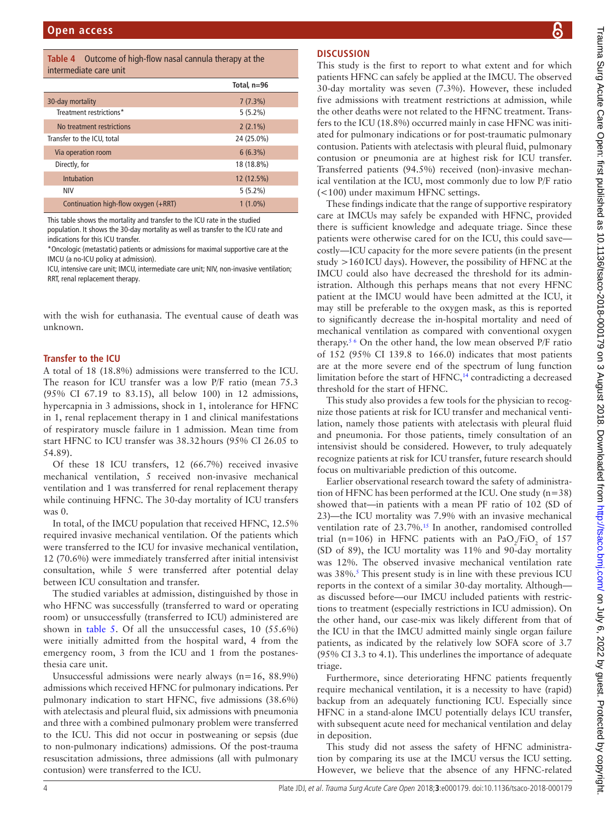<span id="page-3-0"></span>**Table 4** Outcome of high-flow nasal cannula therapy at the intermediate care unit

|                                      | Total, n=96 |
|--------------------------------------|-------------|
| 30-day mortality                     | 7(7.3%)     |
| Treatment restrictions*              | $5(5.2\%)$  |
| No treatment restrictions            | $2(2.1\%)$  |
| Transfer to the ICU, total           | 24 (25.0%)  |
| Via operation room                   | $6(6.3\%)$  |
| Directly, for                        | 18 (18.8%)  |
| Intubation                           | 12 (12.5%)  |
| <b>NIV</b>                           | $5(5.2\%)$  |
| Continuation high-flow oxygen (+RRT) | $1(1.0\%)$  |

This table shows the mortality and transfer to the ICU rate in the studied population. It shows the 30-day mortality as well as transfer to the ICU rate and indications for this ICU transfer.

\*Oncologic (metastatic) patients or admissions for maximal supportive care at the IMCU (a no-ICU policy at admission).

ICU, intensive care unit; IMCU, intermediate care unit; NIV, non-invasive ventilation; RRT, renal replacement therapy.

with the wish for euthanasia. The eventual cause of death was unknown.

#### **Transfer to the ICU**

A total of 18 (18.8%) admissions were transferred to the ICU. The reason for ICU transfer was a low P/F ratio (mean 75.3 (95% CI 67.19 to 83.15), all below 100) in 12 admissions, hypercapnia in 3 admissions, shock in 1, intolerance for HFNC in 1, renal replacement therapy in 1 and clinical manifestations of respiratory muscle failure in 1 admission. Mean time from start HFNC to ICU transfer was 38.32hours (95% CI 26.05 to 54.89).

Of these 18 ICU transfers, 12 (66.7%) received invasive mechanical ventilation, 5 received non-invasive mechanical ventilation and 1 was transferred for renal replacement therapy while continuing HFNC. The 30-day mortality of ICU transfers was 0.

In total, of the IMCU population that received HFNC, 12.5% required invasive mechanical ventilation. Of the patients which were transferred to the ICU for invasive mechanical ventilation, 12 (70.6%) were immediately transferred after initial intensivist consultation, while 5 were transferred after potential delay between ICU consultation and transfer.

The studied variables at admission, distinguished by those in who HFNC was successfully (transferred to ward or operating room) or unsuccessfully (transferred to ICU) administered are shown in [table](#page-4-0) 5. Of all the unsuccessful cases, 10 (55.6%) were initially admitted from the hospital ward, 4 from the emergency room, 3 from the ICU and 1 from the postanesthesia care unit.

Unsuccessful admissions were nearly always (n=16, 88.9%) admissions which received HFNC for pulmonary indications. Per pulmonary indication to start HFNC, five admissions (38.6%) with atelectasis and pleural fluid, six admissions with pneumonia and three with a combined pulmonary problem were transferred to the ICU. This did not occur in postweaning or sepsis (due to non-pulmonary indications) admissions. Of the post-trauma resuscitation admissions, three admissions (all with pulmonary contusion) were transferred to the ICU.

## **Discussion**

This study is the first to report to what extent and for which patients HFNC can safely be applied at the IMCU. The observed 30-day mortality was seven (7.3%). However, these included five admissions with treatment restrictions at admission, while the other deaths were not related to the HFNC treatment. Transfers to the ICU (18.8%) occurred mainly in case HFNC was initiated for pulmonary indications or for post-traumatic pulmonary contusion. Patients with atelectasis with pleural fluid, pulmonary contusion or pneumonia are at highest risk for ICU transfer. Transferred patients (94.5%) received (non)-invasive mechanical ventilation at the ICU, most commonly due to low P/F ratio (<100) under maximum HFNC settings.

These findings indicate that the range of supportive respiratory care at IMCUs may safely be expanded with HFNC, provided there is sufficient knowledge and adequate triage. Since these patients were otherwise cared for on the ICU, this could save costly—ICU capacity for the more severe patients (in the present study >160ICU days). However, the possibility of HFNC at the IMCU could also have decreased the threshold for its administration. Although this perhaps means that not every HFNC patient at the IMCU would have been admitted at the ICU, it may still be preferable to the oxygen mask, as this is reported to significantly decrease the in-hospital mortality and need of mechanical ventilation as compared with conventional oxygen therapy[.5 6](#page-5-3) On the other hand, the low mean observed P/F ratio of 152 (95% CI 139.8 to 166.0) indicates that most patients are at the more severe end of the spectrum of lung function limitation before the start of HFNC,<sup>14</sup> contradicting a decreased threshold for the start of HFNC.

This study also provides a few tools for the physician to recognize those patients at risk for ICU transfer and mechanical ventilation, namely those patients with atelectasis with pleural fluid and pneumonia. For those patients, timely consultation of an intensivist should be considered. However, to truly adequately recognize patients at risk for ICU transfer, future research should focus on multivariable prediction of this outcome.

Earlier observational research toward the safety of administration of HFNC has been performed at the ICU. One study (n=38) showed that—in patients with a mean PF ratio of 102 (SD of 23)—the ICU mortality was 7.9% with an invasive mechanical ventilation rate of 23.7%.<sup>15</sup> In another, randomised controlled trial (n=106) in HFNC patients with an  $PaO_2/FiO_2$  of 157 (SD of 89), the ICU mortality was 11% and 90-day mortality was 12%. The observed invasive mechanical ventilation rate was  $38\%$ .<sup>5</sup> This present study is in line with these previous ICU reports in the context of a similar 30-day mortality. Although as discussed before—our IMCU included patients with restrictions to treatment (especially restrictions in ICU admission). On the other hand, our case-mix was likely different from that of the ICU in that the IMCU admitted mainly single organ failure patients, as indicated by the relatively low SOFA score of 3.7 (95% CI 3.3 to 4.1). This underlines the importance of adequate triage.

Furthermore, since deteriorating HFNC patients frequently require mechanical ventilation, it is a necessity to have (rapid) backup from an adequately functioning ICU. Especially since HFNC in a stand-alone IMCU potentially delays ICU transfer, with subsequent acute need for mechanical ventilation and delay in deposition.

This study did not assess the safety of HFNC administration by comparing its use at the IMCU versus the ICU setting. However, we believe that the absence of any HFNC-related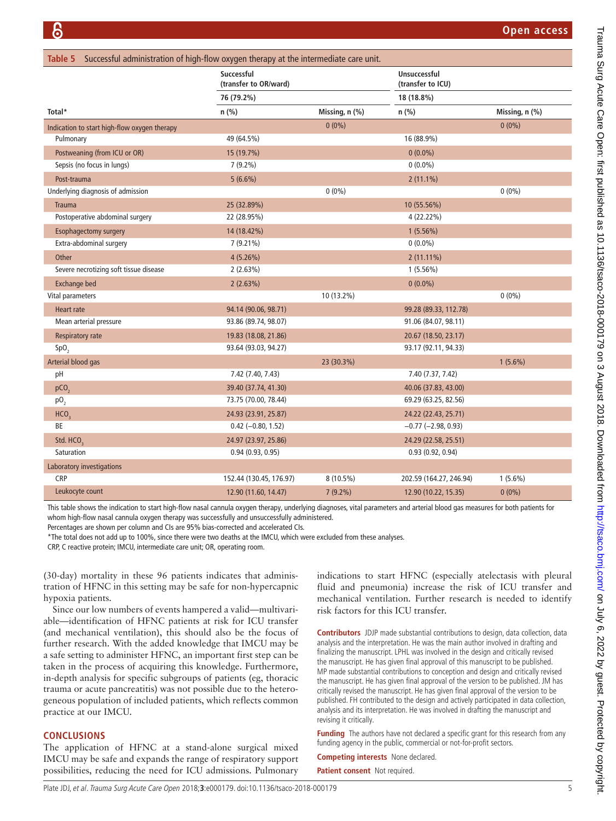<span id="page-4-0"></span>

| Successful administration of high-flow oxygen therapy at the intermediate care unit.<br>Table 5 |                                     |                |                                   |                |  |  |  |
|-------------------------------------------------------------------------------------------------|-------------------------------------|----------------|-----------------------------------|----------------|--|--|--|
|                                                                                                 | Successful<br>(transfer to OR/ward) |                | Unsuccessful<br>(transfer to ICU) |                |  |  |  |
|                                                                                                 | 76 (79.2%)                          |                | 18 (18.8%)                        |                |  |  |  |
| Total*                                                                                          | n (%)                               | Missing, n (%) | n(%)                              | Missing, n (%) |  |  |  |
| Indication to start high-flow oxygen therapy                                                    |                                     | $0(0\%)$       |                                   | $0(0\%)$       |  |  |  |
| Pulmonary                                                                                       | 49 (64.5%)                          |                | 16 (88.9%)                        |                |  |  |  |
| Postweaning (from ICU or OR)                                                                    | 15 (19.7%)                          |                | $0(0.0\%)$                        |                |  |  |  |
| Sepsis (no focus in lungs)                                                                      | $7(9.2\%)$                          |                | $0(0.0\%)$                        |                |  |  |  |
| Post-trauma                                                                                     | $5(6.6\%)$                          |                | $2(11.1\%)$                       |                |  |  |  |
| Underlying diagnosis of admission                                                               |                                     | $0(0\%)$       |                                   | $0(0\%)$       |  |  |  |
| <b>Trauma</b>                                                                                   | 25 (32.89%)                         |                | 10 (55.56%)                       |                |  |  |  |
| Postoperative abdominal surgery                                                                 | 22 (28.95%)                         |                | 4 (22.22%)                        |                |  |  |  |
| <b>Esophagectomy surgery</b>                                                                    | 14 (18.42%)                         |                | 1(5.56%)                          |                |  |  |  |
| Extra-abdominal surgery                                                                         | 7 (9.21%)                           |                | $0(0.0\%)$                        |                |  |  |  |
| Other                                                                                           | 4(5.26%)                            |                | $2(11.11\%)$                      |                |  |  |  |
| Severe necrotizing soft tissue disease                                                          | 2(2.63%)                            |                | $1(5.56\%)$                       |                |  |  |  |
| <b>Exchange bed</b>                                                                             | 2(2.63%)                            |                | $0(0.0\%)$                        |                |  |  |  |
| Vital parameters                                                                                |                                     | 10 (13.2%)     |                                   | $0(0\%)$       |  |  |  |
| <b>Heart rate</b>                                                                               | 94.14 (90.06, 98.71)                |                | 99.28 (89.33, 112.78)             |                |  |  |  |
| Mean arterial pressure                                                                          | 93.86 (89.74, 98.07)                |                | 91.06 (84.07, 98.11)              |                |  |  |  |
| <b>Respiratory rate</b>                                                                         | 19.83 (18.08, 21.86)                |                | 20.67 (18.50, 23.17)              |                |  |  |  |
| SpO <sub>2</sub>                                                                                | 93.64 (93.03, 94.27)                |                | 93.17 (92.11, 94.33)              |                |  |  |  |
| Arterial blood gas                                                                              |                                     | 23 (30.3%)     |                                   | $1(5.6\%)$     |  |  |  |
| pH                                                                                              | 7.42 (7.40, 7.43)                   |                | 7.40 (7.37, 7.42)                 |                |  |  |  |
| pCO <sub>2</sub>                                                                                | 39.40 (37.74, 41.30)                |                | 40.06 (37.83, 43.00)              |                |  |  |  |
| pO <sub>2</sub>                                                                                 | 73.75 (70.00, 78.44)                |                | 69.29 (63.25, 82.56)              |                |  |  |  |
| HCO <sub>3</sub>                                                                                | 24.93 (23.91, 25.87)                |                | 24.22 (22.43, 25.71)              |                |  |  |  |
| BE                                                                                              | $0.42$ (-0.80, 1.52)                |                | $-0.77$ ( $-2.98$ , 0.93)         |                |  |  |  |
| Std. HCO <sub>3</sub>                                                                           | 24.97 (23.97, 25.86)                |                | 24.29 (22.58, 25.51)              |                |  |  |  |
| Saturation                                                                                      | 0.94(0.93, 0.95)                    |                | 0.93(0.92, 0.94)                  |                |  |  |  |
| Laboratory investigations                                                                       |                                     |                |                                   |                |  |  |  |
| <b>CRP</b>                                                                                      | 152.44 (130.45, 176.97)             | 8 (10.5%)      | 202.59 (164.27, 246.94)           | $1(5.6\%)$     |  |  |  |
| Leukocyte count                                                                                 | 12.90 (11.60, 14.47)                | $7(9.2\%)$     | 12.90 (10.22, 15.35)              | $0(0\%)$       |  |  |  |

This table shows the indication to start high-flow nasal cannula oxygen therapy, underlying diagnoses, vital parameters and arterial blood gas measures for both patients for whom high-flow nasal cannula oxygen therapy was successfully and unsuccessfully administered.

Percentages are shown per column and CIs are 95% bias-corrected and accelerated CIs.

\*The total does not add up to 100%, since there were two deaths at the IMCU, which were excluded from these analyses.

CRP, C reactive protein; IMCU, intermediate care unit; OR, operating room.

(30-day) mortality in these 96 patients indicates that administration of HFNC in this setting may be safe for non-hypercapnic hypoxia patients.

Since our low numbers of events hampered a valid—multivariable—identification of HFNC patients at risk for ICU transfer (and mechanical ventilation), this should also be the focus of further research. With the added knowledge that IMCU may be a safe setting to administer HFNC, an important first step can be taken in the process of acquiring this knowledge. Furthermore, in-depth analysis for specific subgroups of patients (eg, thoracic trauma or acute pancreatitis) was not possible due to the heterogeneous population of included patients, which reflects common practice at our IMCU.

#### **Conclusions**

The application of HFNC at a stand-alone surgical mixed IMCU may be safe and expands the range of respiratory support possibilities, reducing the need for ICU admissions. Pulmonary

indications to start HFNC (especially atelectasis with pleural fluid and pneumonia) increase the risk of ICU transfer and mechanical ventilation. Further research is needed to identify risk factors for this ICU transfer.

**Contributors** JDJP made substantial contributions to design, data collection, data analysis and the interpretation. He was the main author involved in drafting and finalizing the manuscript. LPHL was involved in the design and critically revised the manuscript. He has given final approval of this manuscript to be published. MP made substantial contributions to conception and design and critically revised the manuscript. He has given final approval of the version to be published. JM has critically revised the manuscript. He has given final approval of the version to be published. FH contributed to the design and actively participated in data collection, analysis and its interpretation. He was involved in drafting the manuscript and revising it critically.

**Funding** The authors have not declared a specific grant for this research from any funding agency in the public, commercial or not-for-profit sectors.

**Competing interests** None declared.

**Patient consent** Not required.